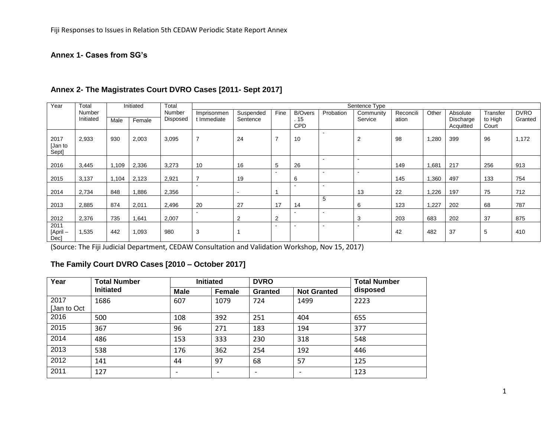# **Annex 1- Cases from SG's**

| Year                     | Total     |       | Initiated | Total    |                          |           |                          |                |                          | Sentence Type            |           |       |           |          |             |
|--------------------------|-----------|-------|-----------|----------|--------------------------|-----------|--------------------------|----------------|--------------------------|--------------------------|-----------|-------|-----------|----------|-------------|
|                          | Number    |       |           | Number   | Imprisonmen              | Suspended | Fine                     | <b>B/Overs</b> | Probation                | Community                | Reconcili | Other | Absolute  | Transfer | <b>DVRO</b> |
|                          | Initiated | Male  | Female    | Disposed | t Immediate              | Sentence  |                          | . 15           |                          | Service                  | ation     |       | Discharge | to High  | Granted     |
|                          |           |       |           |          |                          |           |                          | <b>CPD</b>     |                          |                          |           |       | Acquitted | Court    |             |
| 2017<br>[Jan to<br>Sept] | 2,933     | 930   | 2,003     | 3,095    | $\overline{7}$           | 24        | $\overline{7}$           | 10             | $\sim$                   | $\overline{2}$           | 98        | 1,280 | 399       | 96       | 1,172       |
| 2016                     | 3,445     | 1,109 | 2,336     | 3,273    | 10                       | 16        | 5                        | 26             | $\overline{\phantom{0}}$ | $\overline{\phantom{0}}$ | 149       | 1,681 | 217       | 256      | 913         |
| 2015                     | 3,137     | 1,104 | 2,123     | 2,921    | $\overline{ }$           | 19        | $\overline{\phantom{0}}$ | 6              |                          | $\blacksquare$           | 145       | 1,360 | 497       | 133      | 754         |
| 2014                     | 2,734     | 848   | 886.      | 2,356    |                          |           |                          |                |                          | 13                       | 22        | 1,226 | 197       | 75       | 712         |
| 2013                     | 2,885     | 874   | 2,011     | 2,496    | 20                       | 27        | 17                       | 14             | 5                        | 6                        | 123       | 1,227 | 202       | 68       | 787         |
| 2012                     | 2,376     | 735   | 641.ا     | 2,007    | $\overline{\phantom{0}}$ | 2         | 2                        |                |                          | 3                        | 203       | 683   | 202       | 37       | 875         |
| 2011<br>[April –<br>Dec] | 1,535     | 442   | 1,093     | 980      | 3                        |           |                          |                | $\overline{\phantom{0}}$ | -                        | 42        | 482   | 37        | 5        | 410         |

## **Annex 2- The Magistrates Court DVRO Cases [2011- Sept 2017]**

(Source: The Fiji Judicial Department, CEDAW Consultation and Validation Workshop, Nov 15, 2017)

## **The Family Court DVRO Cases [2010 – October 2017]**

| Year                 | <b>Total Number</b> |                          | <b>Initiated</b>         | <b>DVRO</b>              |                    | <b>Total Number</b> |  |  |
|----------------------|---------------------|--------------------------|--------------------------|--------------------------|--------------------|---------------------|--|--|
|                      | <b>Initiated</b>    | <b>Male</b>              | Female                   | <b>Granted</b>           | <b>Not Granted</b> | disposed            |  |  |
| 2017<br>[Jan to Oct] | 1686                | 607                      | 1079                     | 724                      | 1499               | 2223                |  |  |
| 2016                 | 500                 | 108                      | 392                      | 251                      | 404                | 655                 |  |  |
| 2015                 | 367                 | 96                       | 271                      | 183                      | 194                | 377                 |  |  |
| 2014                 | 486                 | 153                      | 333                      | 230                      | 318                | 548                 |  |  |
| 2013                 | 538                 | 176                      | 362                      | 254                      | 192                | 446                 |  |  |
| 2012                 | 141                 | 44                       | 97                       | 68                       | 57                 | 125                 |  |  |
| 2011                 | 127                 | $\overline{\phantom{0}}$ | $\overline{\phantom{0}}$ | $\overline{\phantom{0}}$ |                    | 123                 |  |  |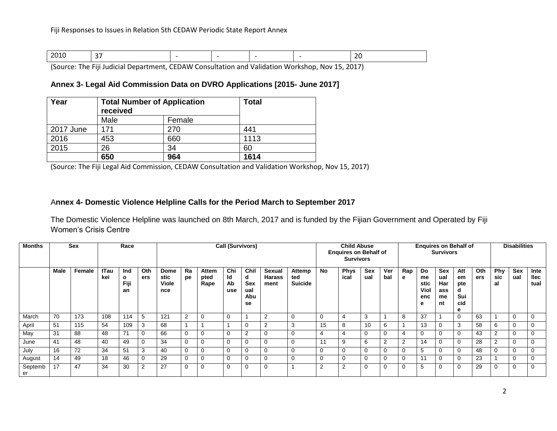Fiji Responses to Issues in Relation 5th CEDAW Periodic State Report Annex

| 2010<br>$\sim$ $-$<br>ີ |  |  |  |  | <b>.</b><br>--<br>__ |
|-------------------------|--|--|--|--|----------------------|
|-------------------------|--|--|--|--|----------------------|

(Source: The Fiji Judicial Department, CEDAW Consultation and Validation Workshop, Nov 15, 2017)

#### **Annex 3- Legal Aid Commission Data on DVRO Applications [2015- June 2017]**

| Year      | <b>Total Number of Application</b><br>received |        | <b>Total</b> |
|-----------|------------------------------------------------|--------|--------------|
|           | Male                                           | Female |              |
| 2017 June | 171                                            | 270    | 441          |
| 2016      | 453                                            | 660    | 1113         |
| 2015      | 26                                             | 34     | 60           |
|           | 650                                            | 964    | 1614         |

(Source: The Fiji Legal Aid Commission, CEDAW Consultation and Validation Workshop, Nov 15, 2017)

#### A**nnex 4- Domestic Violence Helpline Calls for the Period March to September 2017**

The Domestic Violence Helpline was launched on 8th March, 2017 and is funded by the Fijian Government and Operated by Fiji Women's Crisis Centre

| Months        |             | <b>Sex</b> |                    | Race                              |                |                              | <b>Call (Survivors)</b> |                       |                        |                                      | <b>Child Abuse</b><br><b>Enquires on Behalf of</b><br><b>Survivors</b> |                                 |           | <b>Enquires on Behalf of</b><br><b>Survivors</b> |            |            |          | <b>Disabilities</b>                   |                                             |                                          |            |                  |            |                             |
|---------------|-------------|------------|--------------------|-----------------------------------|----------------|------------------------------|-------------------------|-----------------------|------------------------|--------------------------------------|------------------------------------------------------------------------|---------------------------------|-----------|--------------------------------------------------|------------|------------|----------|---------------------------------------|---------------------------------------------|------------------------------------------|------------|------------------|------------|-----------------------------|
|               | <b>Male</b> | Female     | <b>ITau</b><br>kei | Ind<br>$\mathbf{o}$<br>Fiji<br>an | Oth<br>ers     | Dome<br>stic<br>Viole<br>nce | Ra<br>рe                | Attem<br>pted<br>Rape | Chi<br>ld<br>Ab<br>use | Chil<br>a<br>Sex<br>ual<br>Abu<br>se | Sexual<br><b>Harass</b><br>ment                                        | Attemp<br>ted<br><b>Suicide</b> | <b>No</b> | <b>Phys</b><br>ical                              | Sex<br>ual | Ver<br>bal | Rap<br>е | Do.<br>me<br>stic<br>Viol<br>enc<br>e | <b>Sex</b><br>ual<br>Har<br>ass<br>me<br>nt | Att<br>em<br>pte<br>α<br>Sui<br>cid<br>е | Oth<br>ers | Phy<br>sic<br>al | Sex<br>ual | Inte<br><b>llec</b><br>tual |
| March         | 70          | 173        | 108                | 114                               | 5              | 121                          | 2                       | 0                     | 0                      |                                      | 2                                                                      |                                 | 0         | 4                                                | 3          |            | 8        | 37                                    |                                             | 0                                        | 63         |                  | 0          | 0                           |
| April         | 51          | 115        | 54                 | 109                               | 3              | 68                           |                         |                       |                        | 0                                    | 2                                                                      | 3                               | 15        | 8                                                | 10         | 6          |          | 13                                    | 0                                           | 3                                        | 58         | 6                | 0          |                             |
| May           | 31          | 88         | 48                 | 71                                | $\Omega$       | 66                           | 0                       | $\mathbf 0$           | 0                      | $\sqrt{2}$                           | 0                                                                      | $\Omega$                        | 4         | 4                                                | $\Omega$   | $\Omega$   |          | $\Omega$                              | $\mathbf 0$                                 | $\Omega$                                 | 43         | 2                | 0          |                             |
| June          | 41          | 48         | 40                 | 49                                | $\Omega$       | 34                           | $\Omega$                | $\Omega$              | 0                      | 0                                    | U                                                                      | $\Omega$                        | $-11$     | 9                                                | 6          | 2          | 2        | 14                                    | $\mathbf 0$                                 | $\Omega$                                 | 28         | 2                | 0          | 0                           |
| July          | 16          | 72         | 34                 | 51                                | 3              | 40                           | 0                       | $\Omega$              | 0                      | 0                                    | U                                                                      |                                 | 0         | 0                                                | $\Omega$   | $\Omega$   | C        | 5                                     | 0                                           | 0                                        | 48         | 0                | 0          |                             |
| August        | 14          | 49         | 18                 | 46                                | 0              | 29                           | 0                       | 0                     | 0                      |                                      | υ                                                                      |                                 | 0         | υ                                                | $\Omega$   | 0          | 0        |                                       | 0                                           | 0                                        | 23         |                  | 0          |                             |
| Septemb<br>er | 17          | 47         | 34                 | 30                                | $\overline{2}$ | 27                           | $\Omega$                | $\Omega$              | 0                      | $\Omega$                             | $\Omega$                                                               |                                 | 2         | 2                                                | $\Omega$   | $\Omega$   | $\Omega$ | 5                                     | 0                                           | $\Omega$                                 | 29         | 0                | $\Omega$   |                             |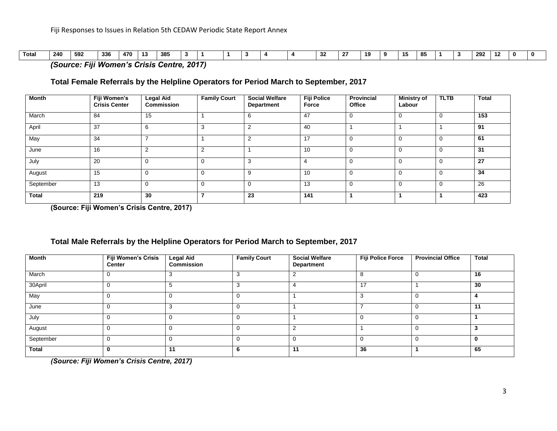| Total | 240                      | 592      | 336 | 470 | 13 | 385 | .                    |  |  | ົາງ<br>⊾د | 27 | 10<br>- 19 | . .<br>. .<br>. . | -85 |  | 292 | $\overline{\phantom{a}}$<br>$\sim$ | 0 |  |
|-------|--------------------------|----------|-----|-----|----|-----|----------------------|--|--|-----------|----|------------|-------------------|-----|--|-----|------------------------------------|---|--|
|       | $\overline{\phantom{a}}$ | ________ |     |     |    |     | $\sim$ $\sim$ $\sim$ |  |  |           |    |            |                   |     |  |     |                                    |   |  |

*(Source: Fiji Women's Crisis Centre, 2017)*

#### **Total Female Referrals by the Helpline Operators for Period March to September, 2017**

| <b>Month</b> | Fiji Women's<br><b>Crisis Center</b> | <b>Legal Aid</b><br><b>Commission</b> | <b>Family Court</b> | <b>Social Welfare</b><br><b>Department</b> | <b>Fiji Police</b><br><b>Force</b> | <b>Provincial</b><br><b>Office</b> | <b>Ministry of</b><br>Labour | <b>TLTB</b>    | <b>Total</b> |
|--------------|--------------------------------------|---------------------------------------|---------------------|--------------------------------------------|------------------------------------|------------------------------------|------------------------------|----------------|--------------|
| March        | 84                                   | 15                                    |                     | 6                                          | 47                                 | 0                                  | $\mathbf 0$                  | $\overline{0}$ | 153          |
| April        | 37                                   | 6                                     | 3                   | $\overline{2}$                             | 40                                 |                                    |                              |                | 91           |
| May          | 34                                   | Ξ                                     |                     | $\overline{2}$                             | 17                                 |                                    | 0                            | U              | 61           |
| June         | 16                                   | $\overline{2}$                        | 2                   |                                            | 10                                 | C                                  | $\mathbf 0$                  | $\overline{0}$ | 31           |
| July         | 20                                   | $\Omega$                              | 0                   | 3                                          |                                    |                                    | $\Omega$                     | $\overline{0}$ | 27           |
| August       | 15                                   | $\Omega$                              | 0                   | 9                                          | 10                                 | -0                                 | $\mathbf 0$                  | $\overline{0}$ | 34           |
| September    | 13                                   | $\overline{0}$                        | $\mathbf 0$         | $\mathbf 0$                                | 13                                 | $\Omega$                           | $\mathbf 0$                  | $\overline{0}$ | 26           |
| <b>Total</b> | 219                                  | 30                                    | ۰,                  | 23                                         | 141                                |                                    |                              |                | 423          |

**(Source: Fiji Women's Crisis Centre, 2017)**

## **Total Male Referrals by the Helpline Operators for Period March to September, 2017**

| <b>Month</b> | <b>Fiji Women's Crisis</b><br><b>Center</b> | <b>Legal Aid</b><br><b>Commission</b> | <b>Family Court</b> | <b>Social Welfare</b><br><b>Department</b> | <b>Fiji Police Force</b> | <b>Provincial Office</b> | <b>Total</b> |
|--------------|---------------------------------------------|---------------------------------------|---------------------|--------------------------------------------|--------------------------|--------------------------|--------------|
| March        | 0                                           | 3                                     | $\sqrt{2}$          |                                            | 8                        |                          | 16           |
| 30April      | $\Omega$                                    | 5                                     | $\sqrt{2}$          |                                            | 17                       |                          | 30           |
| May          | 0                                           | 0                                     |                     |                                            | З                        |                          |              |
| June         | 0                                           | 3                                     |                     |                                            |                          |                          | 11           |
| July         | $\Omega$                                    | $\Omega$                              |                     |                                            |                          |                          |              |
| August       | 0                                           | 0                                     | л.                  |                                            |                          |                          |              |
| September    | 0                                           | 0                                     | л.                  |                                            |                          |                          |              |
| <b>Total</b> | $\bf{0}$                                    | 11                                    | 6                   | 11                                         | 36                       |                          | 65           |

*(Source: Fiji Women's Crisis Centre, 2017)*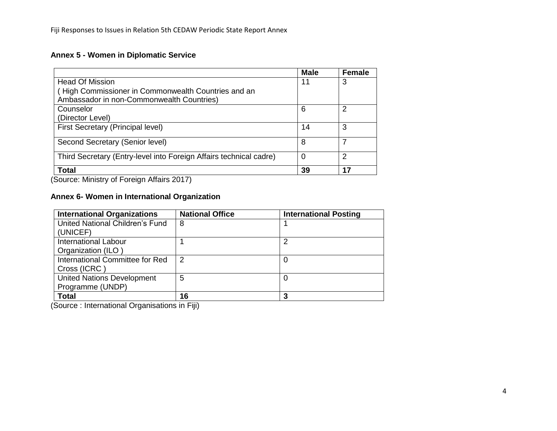# **Annex 5 - Women in Diplomatic Service**

|                                                                    | <b>Male</b> | <b>Female</b> |
|--------------------------------------------------------------------|-------------|---------------|
| <b>Head Of Mission</b>                                             | 11          | 3             |
| (High Commissioner in Commonwealth Countries and an                |             |               |
| Ambassador in non-Commonwealth Countries)                          |             |               |
| Counselor                                                          | 6           | 2             |
| (Director Level)                                                   |             |               |
| First Secretary (Principal level)                                  | 14          | 3             |
| Second Secretary (Senior level)                                    | 8           |               |
| Third Secretary (Entry-level into Foreign Affairs technical cadre) | 0           | $\mathcal{P}$ |
| <b>Total</b>                                                       | 39          | 17            |
| $(0.0150 \times 0.0150)$                                           |             |               |

(Source: Ministry of Foreign Affairs 2017)

#### **Annex 6- Women in International Organization**

| <b>International Organizations</b> | <b>National Office</b> | <b>International Posting</b> |
|------------------------------------|------------------------|------------------------------|
| United National Children's Fund    | 8                      |                              |
| (UNICEF)                           |                        |                              |
| <b>International Labour</b>        |                        |                              |
| Organization (ILO)                 |                        |                              |
| International Committee for Red    | 2                      |                              |
| Cross (ICRC)                       |                        |                              |
| <b>United Nations Development</b>  | 5                      | 0                            |
| Programme (UNDP)                   |                        |                              |
| <b>Total</b>                       | 16                     |                              |

(Source : International Organisations in Fiji)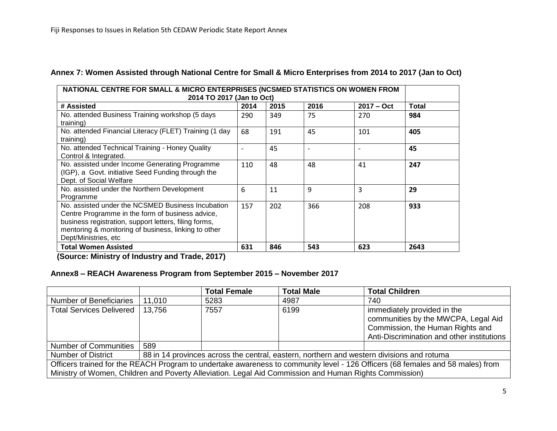| NATIONAL CENTRE FOR SMALL & MICRO ENTERPRISES (NCSMED STATISTICS ON WOMEN FROM<br>2014 TO 2017 (Jan to Oct)                                                                                                                                    |                          |      |      |              |              |  |  |  |
|------------------------------------------------------------------------------------------------------------------------------------------------------------------------------------------------------------------------------------------------|--------------------------|------|------|--------------|--------------|--|--|--|
| # Assisted                                                                                                                                                                                                                                     | 2014                     | 2015 | 2016 | $2017 - Oct$ | <b>Total</b> |  |  |  |
| No. attended Business Training workshop (5 days<br>training)                                                                                                                                                                                   | 290                      | 349  | 75   | 270          | 984          |  |  |  |
| No. attended Financial Literacy (FLET) Training (1 day<br>training)                                                                                                                                                                            | 68                       | 191  | 45   | 101          | 405          |  |  |  |
| No. attended Technical Training - Honey Quality<br>Control & Integrated.                                                                                                                                                                       | $\overline{\phantom{0}}$ | 45   | ٠    |              | 45           |  |  |  |
| No. assisted under Income Generating Programme<br>(IGP), a Govt. initiative Seed Funding through the<br>Dept. of Social Welfare                                                                                                                | 110                      | 48   | 48   | 41           | 247          |  |  |  |
| No. assisted under the Northern Development<br>Programme                                                                                                                                                                                       | 6                        | 11   | 9    | 3            | 29           |  |  |  |
| No. assisted under the NCSMED Business Incubation<br>Centre Programme in the form of business advice,<br>business registration, support letters, filing forms,<br>mentoring & monitoring of business, linking to other<br>Dept/Ministries, etc | 157                      | 202  | 366  | 208          | 933          |  |  |  |
| <b>Total Women Assisted</b>                                                                                                                                                                                                                    | 631                      | 846  | 543  | 623          | 2643         |  |  |  |

# **Annex 7: Women Assisted through National Centre for Small & Micro Enterprises from 2014 to 2017 (Jan to Oct)**

**(Source: Ministry of Industry and Trade, 2017)** 

## **Annex8 – REACH Awareness Program from September 2015 – November 2017**

|                                                                                                                                |        | <b>Total Female</b> | <b>Total Male</b> | <b>Total Children</b>                                                                                                                                |  |  |  |  |  |  |  |
|--------------------------------------------------------------------------------------------------------------------------------|--------|---------------------|-------------------|------------------------------------------------------------------------------------------------------------------------------------------------------|--|--|--|--|--|--|--|
| <b>Number of Beneficiaries</b>                                                                                                 | 11.010 | 5283                | 4987              | 740                                                                                                                                                  |  |  |  |  |  |  |  |
| <b>Total Services Delivered</b>                                                                                                | 13,756 | 7557                | 6199              | immediately provided in the<br>communities by the MWCPA, Legal Aid<br>Commission, the Human Rights and<br>Anti-Discrimination and other institutions |  |  |  |  |  |  |  |
| <b>Number of Communities</b>                                                                                                   | 589    |                     |                   |                                                                                                                                                      |  |  |  |  |  |  |  |
| <b>Number of District</b>                                                                                                      |        |                     |                   | 88 in 14 provinces across the central, eastern, northern and western divisions and rotuma                                                            |  |  |  |  |  |  |  |
| Officers trained for the REACH Program to undertake awareness to community level - 126 Officers (68 females and 58 males) from |        |                     |                   |                                                                                                                                                      |  |  |  |  |  |  |  |
| Ministry of Women, Children and Poverty Alleviation. Legal Aid Commission and Human Rights Commission)                         |        |                     |                   |                                                                                                                                                      |  |  |  |  |  |  |  |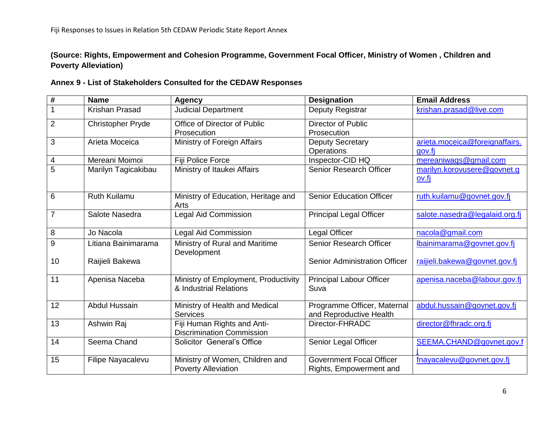# **(Source: Rights, Empowerment and Cohesion Programme, Government Focal Officer, Ministry of Women , Children and Poverty Alleviation)**

| Annex 9 - List of Stakeholders Consulted for the CEDAW Responses |
|------------------------------------------------------------------|
|------------------------------------------------------------------|

| #              | <b>Name</b>          | <b>Agency</b>                        | <b>Designation</b>                   | <b>Email Address</b>           |
|----------------|----------------------|--------------------------------------|--------------------------------------|--------------------------------|
|                | Krishan Prasad       | <b>Judicial Department</b>           | Deputy Registrar                     | krishan.prasad@live.com        |
| $\overline{2}$ | Christopher Pryde    | Office of Director of Public         | <b>Director of Public</b>            |                                |
|                |                      | Prosecution                          | Prosecution                          |                                |
| 3              | Arieta Moceica       | Ministry of Foreign Affairs          | <b>Deputy Secretary</b>              | arieta.moceica@foreignaffairs. |
|                |                      |                                      | Operations                           | gov.fi                         |
| 4              | Mereani Moimoi       | <b>Fiji Police Force</b>             | Inspector-CID HQ                     | mereaniwaqs@gmail.com          |
| $\overline{5}$ | Marilyn Tagicakibau  | Ministry of Itaukei Affairs          | Senior Research Officer              | marilyn.korovusere@govnet.g    |
|                |                      |                                      |                                      | <u>ov.fi</u>                   |
|                |                      |                                      |                                      |                                |
| 6              | <b>Ruth Kuilamu</b>  | Ministry of Education, Heritage and  | <b>Senior Education Officer</b>      | ruth.kuilamu@govnet.gov.fj     |
|                |                      | Arts                                 |                                      |                                |
| $\overline{7}$ | Salote Nasedra       | Legal Aid Commission                 | <b>Principal Legal Officer</b>       | salote.nasedra@legalaid.org.fj |
|                |                      |                                      |                                      |                                |
| 8              | Jo Nacola            | <b>Legal Aid Commission</b>          | Legal Officer                        | nacola@gmail.com               |
| 9              | Litiana Bainimarama  | Ministry of Rural and Maritime       | Senior Research Officer              | lbainimarama@govnet.gov.fj     |
|                |                      | Development                          |                                      |                                |
| 10             | Raijieli Bakewa      |                                      | <b>Senior Administration Officer</b> | raijieli.bakewa@govnet.gov.fj  |
|                |                      |                                      |                                      |                                |
| 11             | Apenisa Naceba       | Ministry of Employment, Productivity | <b>Principal Labour Officer</b>      | apenisa.naceba@labour.gov.fj   |
|                |                      | & Industrial Relations               | Suva                                 |                                |
|                |                      |                                      |                                      |                                |
| 12             | <b>Abdul Hussain</b> | Ministry of Health and Medical       | Programme Officer, Maternal          | abdul.hussain@govnet.gov.fj    |
|                |                      | <b>Services</b>                      | and Reproductive Health              |                                |
| 13             | Ashwin Raj           | Fiji Human Rights and Anti-          | Director-FHRADC                      | director@fhradc.org.fj         |
|                |                      | <b>Discrimination Commission</b>     |                                      |                                |
| 14             | Seema Chand          | Solicitor General's Office           | Senior Legal Officer                 | SEEMA.CHAND@govnet.gov.f       |
|                |                      |                                      |                                      |                                |
| 15             | Filipe Nayacalevu    | Ministry of Women, Children and      | <b>Government Focal Officer</b>      | fnayacalevu@govnet.gov.fj      |
|                |                      | <b>Poverty Alleviation</b>           | Rights, Empowerment and              |                                |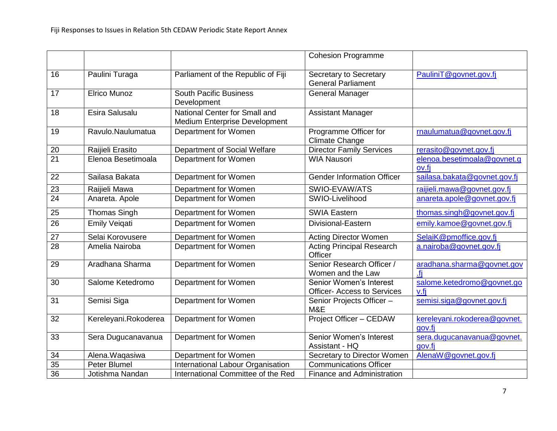|                 |                      |                                                                | <b>Cohesion Programme</b>                                     |                                        |
|-----------------|----------------------|----------------------------------------------------------------|---------------------------------------------------------------|----------------------------------------|
| 16              | Paulini Turaga       | Parliament of the Republic of Fiji                             | Secretary to Secretary<br><b>General Parliament</b>           | PauliniT@govnet.gov.fj                 |
| 17              | <b>Elrico Munoz</b>  | <b>South Pacific Business</b><br>Development                   | <b>General Manager</b>                                        |                                        |
| 18              | Esira Salusalu       | National Center for Small and<br>Medium Enterprise Development | <b>Assistant Manager</b>                                      |                                        |
| 19              | Ravulo.Naulumatua    | Department for Women                                           | Programme Officer for<br><b>Climate Change</b>                | rnaulumatua@govnet.gov.fj              |
| $\overline{20}$ | Raijieli Erasito     | <b>Department of Social Welfare</b>                            | <b>Director Family Services</b>                               | rerasito@govnet.gov.fj                 |
| $\overline{21}$ | Elenoa Besetimoala   | Department for Women                                           | <b>WIA Nausori</b>                                            | elenoa.besetimoala@govnet.g<br>ov.fi   |
| $\overline{22}$ | Sailasa Bakata       | Department for Women                                           | <b>Gender Information Officer</b>                             | sailasa.bakata@govnet.gov.fj           |
| 23              | Raijieli Mawa        | Department for Women                                           | SWIO-EVAW/ATS                                                 | raijieli.mawa@govnet.gov.fj            |
| $\overline{24}$ | Anareta. Apole       | Department for Women                                           | SWIO-Livelihood                                               | anareta.apole@govnet.gov.fj            |
| 25              | <b>Thomas Singh</b>  | Department for Women                                           | <b>SWIA Eastern</b>                                           | thomas.singh@govnet.gov.fj             |
| $\overline{26}$ | <b>Emily Veigati</b> | Department for Women                                           | Divisional-Eastern                                            | emily.kamoe@govnet.gov.fj              |
| 27              | Selai Korovusere     | Department for Women                                           | <b>Acting Director Women</b>                                  | SelaiK@pmoffice.gov.fj                 |
| $\overline{28}$ | Amelia Nairoba       | Department for Women                                           | <b>Acting Principal Research</b><br>Officer                   | a.nairoba@govnet.gov.fj                |
| 29              | Aradhana Sharma      | Department for Women                                           | Senior Research Officer /<br>Women and the Law                | aradhana.sharma@govnet.gov<br>.fi      |
| 30              | Salome Ketedromo     | Department for Women                                           | Senior Women's Interest<br><b>Officer- Access to Services</b> | salome.ketedromo@govnet.go<br>v.fi     |
| 31              | Semisi Siga          | Department for Women                                           | Senior Projects Officer -<br>M&E                              | semisi.siga@govnet.gov.fj              |
| 32              | Kereleyani.Rokoderea | Department for Women                                           | Project Officer - CEDAW                                       | kereleyani.rokoderea@govnet.<br>gov.fi |
| 33              | Sera Dugucanavanua   | Department for Women                                           | Senior Women's Interest<br>Assistant - HQ                     | sera.dugucanavanua@govnet.<br>gov.fi   |
| 34              | Alena. Waqasiwa      | <b>Department for Women</b>                                    | Secretary to Director Women                                   | AlenaW@govnet.gov.fj                   |
| $\overline{35}$ | Peter Blumel         | <b>International Labour Organisation</b>                       | <b>Communications Officer</b>                                 |                                        |
| $\overline{36}$ | Jotishma Nandan      | International Committee of the Red                             | <b>Finance and Administration</b>                             |                                        |